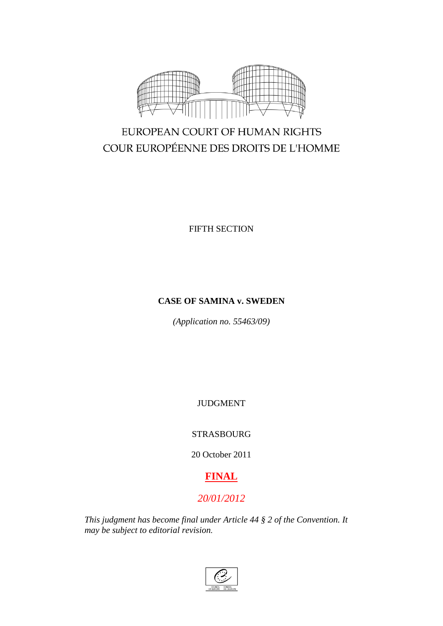

# EUROPEAN COURT OF HUMAN RIGHTS COUR EUROPÉENNE DES DROITS DE L'HOMME

FIFTH SECTION

## **CASE OF SAMINA v. SWEDEN**

*(Application no. 55463/09)*

JUDGMENT

## STRASBOURG

20 October 2011

# **FINAL**

# *20/01/2012*

*This judgment has become final under Article 44 § 2 of the Convention. It may be subject to editorial revision.*

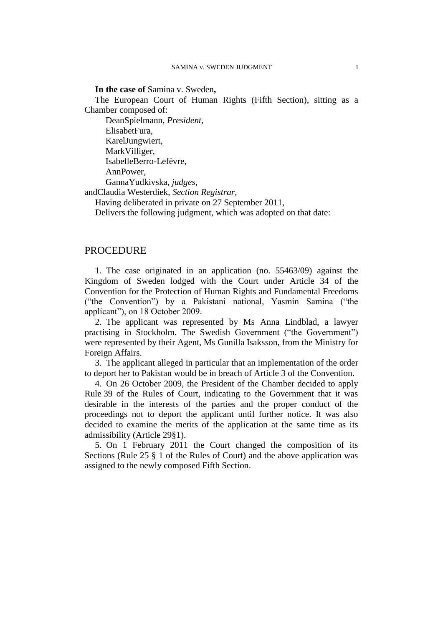## **In the case of** Samina v. Sweden**,**

The European Court of Human Rights (Fifth Section), sitting as a Chamber composed of:

DeanSpielmann, *President,* ElisabetFura, KarelJungwiert, MarkVilliger, IsabelleBerro-Lefèvre, AnnPower, GannaYudkivska, *judges,*

andClaudia Westerdiek, *Section Registrar,*

Having deliberated in private on 27 September 2011,

Delivers the following judgment, which was adopted on that date:

## PROCEDURE

1. The case originated in an application (no. 55463/09) against the Kingdom of Sweden lodged with the Court under Article 34 of the Convention for the Protection of Human Rights and Fundamental Freedoms ("the Convention") by a Pakistani national, Yasmin Samina ("the applicant"), on 18 October 2009.

2. The applicant was represented by Ms Anna Lindblad, a lawyer practising in Stockholm. The Swedish Government ("the Government") were represented by their Agent, Ms Gunilla Isaksson, from the Ministry for Foreign Affairs.

3. The applicant alleged in particular that an implementation of the order to deport her to Pakistan would be in breach of Article 3 of the Convention.

4. On 26 October 2009, the President of the Chamber decided to apply Rule 39 of the Rules of Court, indicating to the Government that it was desirable in the interests of the parties and the proper conduct of the proceedings not to deport the applicant until further notice. It was also decided to examine the merits of the application at the same time as its admissibility (Article 29§1).

5. On 1 February 2011 the Court changed the composition of its Sections (Rule 25 § 1 of the Rules of Court) and the above application was assigned to the newly composed Fifth Section.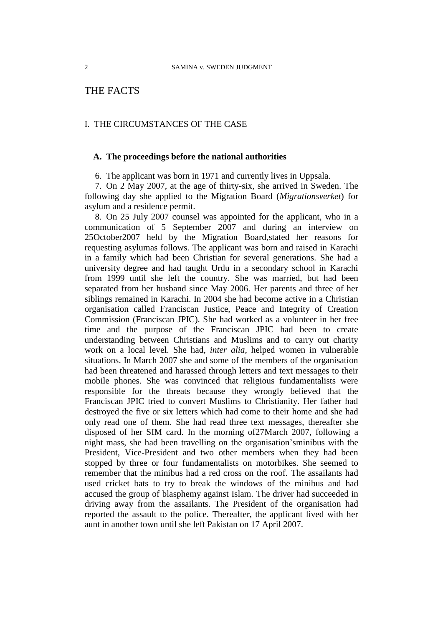## THE FACTS

## I. THE CIRCUMSTANCES OF THE CASE

## **A. The proceedings before the national authorities**

6. The applicant was born in 1971 and currently lives in Uppsala.

7. On 2 May 2007, at the age of thirty-six, she arrived in Sweden. The following day she applied to the Migration Board (*Migrationsverket*) for asylum and a residence permit.

8. On 25 July 2007 counsel was appointed for the applicant, who in a communication of 5 September 2007 and during an interview on 25October2007 held by the Migration Board,stated her reasons for requesting asylumas follows. The applicant was born and raised in Karachi in a family which had been Christian for several generations. She had a university degree and had taught Urdu in a secondary school in Karachi from 1999 until she left the country. She was married, but had been separated from her husband since May 2006. Her parents and three of her siblings remained in Karachi. In 2004 she had become active in a Christian organisation called Franciscan Justice, Peace and Integrity of Creation Commission (Franciscan JPIC). She had worked as a volunteer in her free time and the purpose of the Franciscan JPIC had been to create understanding between Christians and Muslims and to carry out charity work on a local level. She had, *inter alia*, helped women in vulnerable situations. In March 2007 she and some of the members of the organisation had been threatened and harassed through letters and text messages to their mobile phones. She was convinced that religious fundamentalists were responsible for the threats because they wrongly believed that the Franciscan JPIC tried to convert Muslims to Christianity. Her father had destroyed the five or six letters which had come to their home and she had only read one of them. She had read three text messages, thereafter she disposed of her SIM card. In the morning of27March 2007, following a night mass, she had been travelling on the organisation'sminibus with the President, Vice-President and two other members when they had been stopped by three or four fundamentalists on motorbikes. She seemed to remember that the minibus had a red cross on the roof. The assailants had used cricket bats to try to break the windows of the minibus and had accused the group of blasphemy against Islam. The driver had succeeded in driving away from the assailants. The President of the organisation had reported the assault to the police. Thereafter, the applicant lived with her aunt in another town until she left Pakistan on 17 April 2007.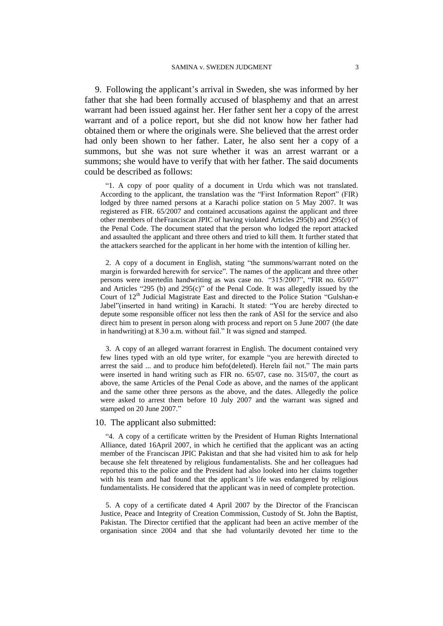9. Following the applicant's arrival in Sweden, she was informed by her father that she had been formally accused of blasphemy and that an arrest warrant had been issued against her. Her father sent her a copy of the arrest warrant and of a police report, but she did not know how her father had obtained them or where the originals were. She believed that the arrest order had only been shown to her father. Later, he also sent her a copy of a summons, but she was not sure whether it was an arrest warrant or a summons; she would have to verify that with her father. The said documents could be described as follows:

"1. A copy of poor quality of a document in Urdu which was not translated. According to the applicant, the translation was the "First Information Report" (FIR) lodged by three named persons at a Karachi police station on 5 May 2007. It was registered as FIR. 65/2007 and contained accusations against the applicant and three other members of theFranciscan JPIC of having violated Articles 295(b) and 295(c) of the Penal Code. The document stated that the person who lodged the report attacked and assaulted the applicant and three others and tried to kill them. It further stated that the attackers searched for the applicant in her home with the intention of killing her.

2. A copy of a document in English, stating "the summons/warrant noted on the margin is forwarded herewith for service". The names of the applicant and three other persons were insertedin handwriting as was case no. "315/2007", "FIR no. 65/07" and Articles "295 (b) and 295(c)" of the Penal Code. It was allegedly issued by the Court of 12<sup>th</sup> Judicial Magistrate East and directed to the Police Station "Gulshan-e Jabel"(inserted in hand writing) in Karachi. It stated: "You are hereby directed to depute some responsible officer not less then the rank of ASI for the service and also direct him to present in person along with process and report on 5 June 2007 (the date in handwriting) at 8.30 a.m. without fail." It was signed and stamped.

3. A copy of an alleged warrant forarrest in English. The document contained very few lines typed with an old type writer, for example "you are herewith directed to arrest the said ... and to produce him befo(deleted). Hereln fail not." The main parts were inserted in hand writing such as FIR no. 65/07, case no. 315/07, the court as above, the same Articles of the Penal Code as above, and the names of the applicant and the same other three persons as the above, and the dates. Allegedly the police were asked to arrest them before 10 July 2007 and the warrant was signed and stamped on 20 June 2007."

## 10. The applicant also submitted:

"4. A copy of a certificate written by the President of Human Rights International Alliance, dated 16April 2007, in which he certified that the applicant was an acting member of the Franciscan JPIC Pakistan and that she had visited him to ask for help because she felt threatened by religious fundamentalists. She and her colleagues had reported this to the police and the President had also looked into her claims together with his team and had found that the applicant's life was endangered by religious fundamentalists. He considered that the applicant was in need of complete protection.

5. A copy of a certificate dated 4 April 2007 by the Director of the Franciscan Justice, Peace and Integrity of Creation Commission, Custody of St. John the Baptist, Pakistan. The Director certified that the applicant had been an active member of the organisation since 2004 and that she had voluntarily devoted her time to the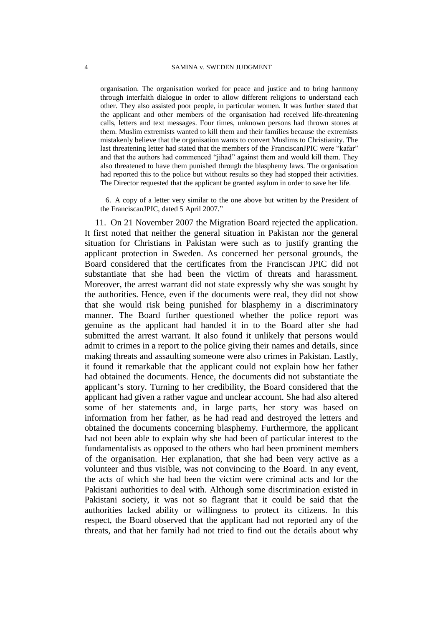organisation. The organisation worked for peace and justice and to bring harmony through interfaith dialogue in order to allow different religions to understand each other. They also assisted poor people, in particular women. It was further stated that the applicant and other members of the organisation had received life-threatening calls, letters and text messages. Four times, unknown persons had thrown stones at them. Muslim extremists wanted to kill them and their families because the extremists mistakenly believe that the organisation wants to convert Muslims to Christianity. The last threatening letter had stated that the members of the FranciscanJPIC were "kafar" and that the authors had commenced "jihad" against them and would kill them. They also threatened to have them punished through the blasphemy laws. The organisation had reported this to the police but without results so they had stopped their activities. The Director requested that the applicant be granted asylum in order to save her life.

6. A copy of a letter very similar to the one above but written by the President of the FranciscanJPIC, dated 5 April 2007."

11. On 21 November 2007 the Migration Board rejected the application. It first noted that neither the general situation in Pakistan nor the general situation for Christians in Pakistan were such as to justify granting the applicant protection in Sweden. As concerned her personal grounds, the Board considered that the certificates from the Franciscan JPIC did not substantiate that she had been the victim of threats and harassment. Moreover, the arrest warrant did not state expressly why she was sought by the authorities. Hence, even if the documents were real, they did not show that she would risk being punished for blasphemy in a discriminatory manner. The Board further questioned whether the police report was genuine as the applicant had handed it in to the Board after she had submitted the arrest warrant. It also found it unlikely that persons would admit to crimes in a report to the police giving their names and details, since making threats and assaulting someone were also crimes in Pakistan. Lastly, it found it remarkable that the applicant could not explain how her father had obtained the documents. Hence, the documents did not substantiate the applicant's story. Turning to her credibility, the Board considered that the applicant had given a rather vague and unclear account. She had also altered some of her statements and, in large parts, her story was based on information from her father, as he had read and destroyed the letters and obtained the documents concerning blasphemy. Furthermore, the applicant had not been able to explain why she had been of particular interest to the fundamentalists as opposed to the others who had been prominent members of the organisation. Her explanation, that she had been very active as a volunteer and thus visible, was not convincing to the Board. In any event, the acts of which she had been the victim were criminal acts and for the Pakistani authorities to deal with. Although some discrimination existed in Pakistani society, it was not so flagrant that it could be said that the authorities lacked ability or willingness to protect its citizens. In this respect, the Board observed that the applicant had not reported any of the threats, and that her family had not tried to find out the details about why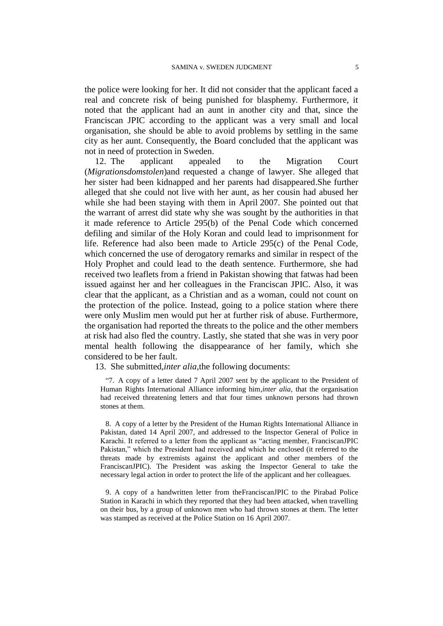the police were looking for her. It did not consider that the applicant faced a real and concrete risk of being punished for blasphemy. Furthermore, it noted that the applicant had an aunt in another city and that, since the Franciscan JPIC according to the applicant was a very small and local organisation, she should be able to avoid problems by settling in the same city as her aunt. Consequently, the Board concluded that the applicant was not in need of protection in Sweden.

12. The applicant appealed to the Migration Court (*Migrationsdomstolen*)and requested a change of lawyer. She alleged that her sister had been kidnapped and her parents had disappeared.She further alleged that she could not live with her aunt, as her cousin had abused her while she had been staying with them in April 2007. She pointed out that the warrant of arrest did state why she was sought by the authorities in that it made reference to Article 295(b) of the Penal Code which concerned defiling and similar of the Holy Koran and could lead to imprisonment for life. Reference had also been made to Article 295(c) of the Penal Code, which concerned the use of derogatory remarks and similar in respect of the Holy Prophet and could lead to the death sentence. Furthermore, she had received two leaflets from a friend in Pakistan showing that fatwas had been issued against her and her colleagues in the Franciscan JPIC. Also, it was clear that the applicant, as a Christian and as a woman, could not count on the protection of the police. Instead, going to a police station where there were only Muslim men would put her at further risk of abuse. Furthermore, the organisation had reported the threats to the police and the other members at risk had also fled the country. Lastly, she stated that she was in very poor mental health following the disappearance of her family, which she considered to be her fault.

13. She submitted,*inter alia,*the following documents:

"7. A copy of a letter dated 7 April 2007 sent by the applicant to the President of Human Rights International Alliance informing him,*inter alia,* that the organisation had received threatening letters and that four times unknown persons had thrown stones at them.

8. A copy of a letter by the President of the Human Rights International Alliance in Pakistan, dated 14 April 2007, and addressed to the Inspector General of Police in Karachi. It referred to a letter from the applicant as "acting member, FranciscanJPIC Pakistan," which the President had received and which he enclosed (it referred to the threats made by extremists against the applicant and other members of the FranciscanJPIC). The President was asking the Inspector General to take the necessary legal action in order to protect the life of the applicant and her colleagues.

9. A copy of a handwritten letter from theFranciscanJPIC to the Pirabad Police Station in Karachi in which they reported that they had been attacked, when travelling on their bus, by a group of unknown men who had thrown stones at them. The letter was stamped as received at the Police Station on 16 April 2007.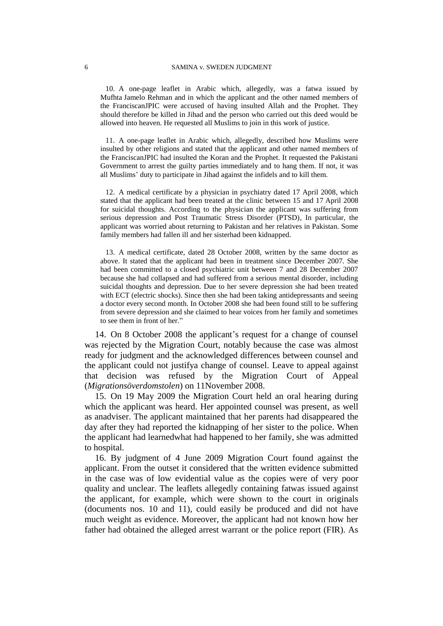10. A one-page leaflet in Arabic which, allegedly, was a fatwa issued by Mufhta Jamelo Rehman and in which the applicant and the other named members of the FranciscanJPIC were accused of having insulted Allah and the Prophet. They should therefore be killed in Jihad and the person who carried out this deed would be allowed into heaven. He requested all Muslims to join in this work of justice.

11. A one-page leaflet in Arabic which, allegedly, described how Muslims were insulted by other religions and stated that the applicant and other named members of the FranciscanJPIC had insulted the Koran and the Prophet. It requested the Pakistani Government to arrest the guilty parties immediately and to hang them. If not, it was all Muslims' duty to participate in Jihad against the infidels and to kill them.

12. A medical certificate by a physician in psychiatry dated 17 April 2008, which stated that the applicant had been treated at the clinic between 15 and 17 April 2008 for suicidal thoughts. According to the physician the applicant was suffering from serious depression and Post Traumatic Stress Disorder (PTSD), In particular, the applicant was worried about returning to Pakistan and her relatives in Pakistan. Some family members had fallen ill and her sisterhad been kidnapped.

13. A medical certificate, dated 28 October 2008, written by the same doctor as above. It stated that the applicant had been in treatment since December 2007. She had been committed to a closed psychiatric unit between 7 and 28 December 2007 because she had collapsed and had suffered from a serious mental disorder, including suicidal thoughts and depression. Due to her severe depression she had been treated with ECT (electric shocks). Since then she had been taking antidepressants and seeing a doctor every second month. In October 2008 she had been found still to be suffering from severe depression and she claimed to hear voices from her family and sometimes to see them in front of her."

14. On 8 October 2008 the applicant's request for a change of counsel was rejected by the Migration Court, notably because the case was almost ready for judgment and the acknowledged differences between counsel and the applicant could not justifya change of counsel. Leave to appeal against that decision was refused by the Migration Court of Appeal (*Migrationsöverdomstolen*) on 11November 2008.

15. On 19 May 2009 the Migration Court held an oral hearing during which the applicant was heard. Her appointed counsel was present, as well as anadviser. The applicant maintained that her parents had disappeared the day after they had reported the kidnapping of her sister to the police. When the applicant had learnedwhat had happened to her family, she was admitted to hospital.

16. By judgment of 4 June 2009 Migration Court found against the applicant. From the outset it considered that the written evidence submitted in the case was of low evidential value as the copies were of very poor quality and unclear. The leaflets allegedly containing fatwas issued against the applicant, for example, which were shown to the court in originals (documents nos. 10 and 11), could easily be produced and did not have much weight as evidence. Moreover, the applicant had not known how her father had obtained the alleged arrest warrant or the police report (FIR). As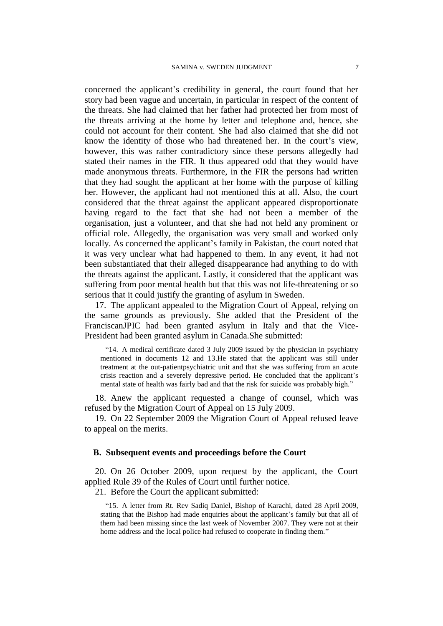concerned the applicant's credibility in general, the court found that her story had been vague and uncertain, in particular in respect of the content of the threats. She had claimed that her father had protected her from most of the threats arriving at the home by letter and telephone and, hence, she could not account for their content. She had also claimed that she did not know the identity of those who had threatened her. In the court's view, however, this was rather contradictory since these persons allegedly had stated their names in the FIR. It thus appeared odd that they would have made anonymous threats. Furthermore, in the FIR the persons had written that they had sought the applicant at her home with the purpose of killing her. However, the applicant had not mentioned this at all. Also, the court considered that the threat against the applicant appeared disproportionate having regard to the fact that she had not been a member of the organisation, just a volunteer, and that she had not held any prominent or official role. Allegedly, the organisation was very small and worked only locally. As concerned the applicant's family in Pakistan, the court noted that it was very unclear what had happened to them. In any event, it had not been substantiated that their alleged disappearance had anything to do with the threats against the applicant. Lastly, it considered that the applicant was suffering from poor mental health but that this was not life-threatening or so serious that it could justify the granting of asylum in Sweden.

17. The applicant appealed to the Migration Court of Appeal, relying on the same grounds as previously. She added that the President of the FranciscanJPIC had been granted asylum in Italy and that the Vice-President had been granted asylum in Canada.She submitted:

"14. A medical certificate dated 3 July 2009 issued by the physician in psychiatry mentioned in documents 12 and 13.He stated that the applicant was still under treatment at the out-patientpsychiatric unit and that she was suffering from an acute crisis reaction and a severely depressive period. He concluded that the applicant's mental state of health was fairly bad and that the risk for suicide was probably high."

18. Anew the applicant requested a change of counsel, which was refused by the Migration Court of Appeal on 15 July 2009.

19. On 22 September 2009 the Migration Court of Appeal refused leave to appeal on the merits.

## **B. Subsequent events and proceedings before the Court**

20. On 26 October 2009, upon request by the applicant, the Court applied Rule 39 of the Rules of Court until further notice.

21. Before the Court the applicant submitted:

"15. A letter from Rt. Rev Sadiq Daniel, Bishop of Karachi, dated 28 April 2009, stating that the Bishop had made enquiries about the applicant's family but that all of them had been missing since the last week of November 2007. They were not at their home address and the local police had refused to cooperate in finding them."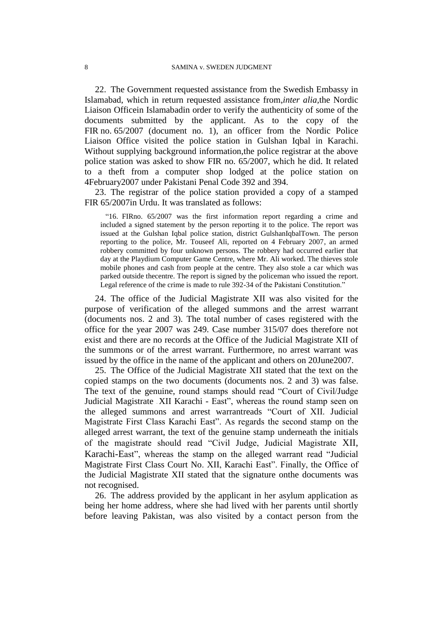22. The Government requested assistance from the Swedish Embassy in Islamabad, which in return requested assistance from,*inter alia,*the Nordic Liaison Officein Islamabadin order to verify the authenticity of some of the documents submitted by the applicant. As to the copy of the FIR no. 65/2007 (document no. 1), an officer from the Nordic Police Liaison Office visited the police station in Gulshan Iqbal in Karachi. Without supplying background information,the police registrar at the above police station was asked to show FIR no. 65/2007, which he did. It related to a theft from a computer shop lodged at the police station on 4February2007 under Pakistani Penal Code 392 and 394.

23. The registrar of the police station provided a copy of a stamped FIR 65/2007in Urdu. It was translated as follows:

"16. FIRno. 65/2007 was the first information report regarding a crime and included a signed statement by the person reporting it to the police. The report was issued at the Gulshan Iqbal police station, district GulshanIqbalTown. The person reporting to the police, Mr. Touseef Ali, reported on 4 February 2007, an armed robbery committed by four unknown persons. The robbery had occurred earlier that day at the Playdium Computer Game Centre, where Mr. Ali worked. The thieves stole mobile phones and cash from people at the centre. They also stole a car which was parked outside thecentre. The report is signed by the policeman who issued the report. Legal reference of the crime is made to rule 392-34 of the Pakistani Constitution."

24. The office of the Judicial Magistrate XII was also visited for the purpose of verification of the alleged summons and the arrest warrant (documents nos. 2 and 3). The total number of cases registered with the office for the year 2007 was 249. Case number 315/07 does therefore not exist and there are no records at the Office of the Judicial Magistrate XII of the summons or of the arrest warrant. Furthermore, no arrest warrant was issued by the office in the name of the applicant and others on 20June2007.

25. The Office of the Judicial Magistrate XII stated that the text on the copied stamps on the two documents (documents nos. 2 and 3) was false. The text of the genuine, round stamps should read "Court of Civil/Judge Judicial Magistrate - XII Karachi - East", whereas the round stamp seen on the alleged summons and arrest warrantreads "Court of XII. Judicial Magistrate First Class Karachi East". As regards the second stamp on the alleged arrest warrant, the text of the genuine stamp underneath the initials of the magistrate should read "Civil Judge, Judicial Magistrate XII, Karachi-East", whereas the stamp on the alleged warrant read "Judicial Magistrate First Class Court No. XII, Karachi East". Finally, the Office of the Judicial Magistrate XII stated that the signature onthe documents was not recognised.

26. The address provided by the applicant in her asylum application as being her home address, where she had lived with her parents until shortly before leaving Pakistan, was also visited by a contact person from the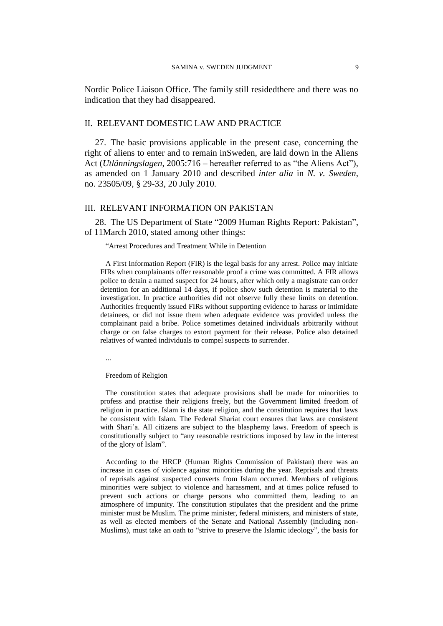Nordic Police Liaison Office. The family still residedthere and there was no indication that they had disappeared.

## II. RELEVANT DOMESTIC LAW AND PRACTICE

27. The basic provisions applicable in the present case, concerning the right of aliens to enter and to remain inSweden, are laid down in the Aliens Act (*Utlänningslagen*, 2005:716 – hereafter referred to as "the Aliens Act"), as amended on 1 January 2010 and described *inter alia* in *N. v. Sweden*, no. 23505/09, § 29-33, 20 July 2010.

## III. RELEVANT INFORMATION ON PAKISTAN

28. The US Department of State "2009 Human Rights Report: Pakistan", of 11March 2010, stated among other things:

#### "Arrest Procedures and Treatment While in Detention

A First Information Report (FIR) is the legal basis for any arrest. Police may initiate FIRs when complainants offer reasonable proof a crime was committed. A FIR allows police to detain a named suspect for 24 hours, after which only a magistrate can order detention for an additional 14 days, if police show such detention is material to the investigation. In practice authorities did not observe fully these limits on detention. Authorities frequently issued FIRs without supporting evidence to harass or intimidate detainees, or did not issue them when adequate evidence was provided unless the complainant paid a bribe. Police sometimes detained individuals arbitrarily without charge or on false charges to extort payment for their release. Police also detained relatives of wanted individuals to compel suspects to surrender.

...

#### Freedom of Religion

The constitution states that adequate provisions shall be made for minorities to profess and practise their religions freely, but the Government limited freedom of religion in practice. Islam is the state religion, and the constitution requires that laws be consistent with Islam. The Federal Shariat court ensures that laws are consistent with Shari'a. All citizens are subject to the blasphemy laws. Freedom of speech is constitutionally subject to "any reasonable restrictions imposed by law in the interest of the glory of Islam".

According to the HRCP (Human Rights Commission of Pakistan) there was an increase in cases of violence against minorities during the year. Reprisals and threats of reprisals against suspected converts from Islam occurred. Members of religious minorities were subject to violence and harassment, and at times police refused to prevent such actions or charge persons who committed them, leading to an atmosphere of impunity. The constitution stipulates that the president and the prime minister must be Muslim. The prime minister, federal ministers, and ministers of state, as well as elected members of the Senate and National Assembly (including non-Muslims), must take an oath to "strive to preserve the Islamic ideology", the basis for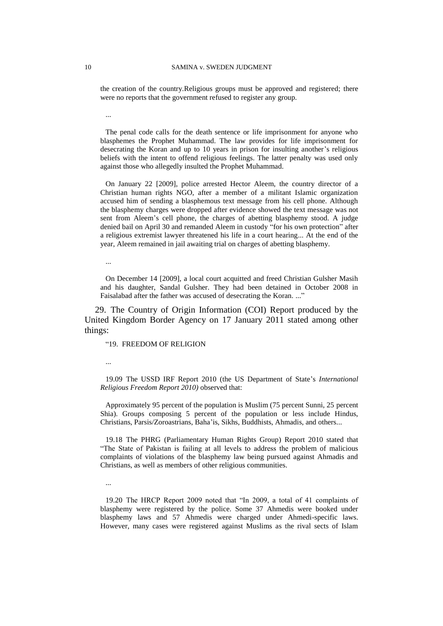the creation of the country.Religious groups must be approved and registered; there were no reports that the government refused to register any group.

The penal code calls for the death sentence or life imprisonment for anyone who blasphemes the Prophet Muhammad. The law provides for life imprisonment for desecrating the Koran and up to 10 years in prison for insulting another's religious beliefs with the intent to offend religious feelings. The latter penalty was used only against those who allegedly insulted the Prophet Muhammad.

On January 22 [2009], police arrested Hector Aleem, the country director of a Christian human rights NGO, after a member of a militant Islamic organization accused him of sending a blasphemous text message from his cell phone. Although the blasphemy charges were dropped after evidence showed the text message was not sent from Aleem's cell phone, the charges of abetting blasphemy stood. A judge denied bail on April 30 and remanded Aleem in custody "for his own protection" after a religious extremist lawyer threatened his life in a court hearing... At the end of the year, Aleem remained in jail awaiting trial on charges of abetting blasphemy.

...

On December 14 [2009], a local court acquitted and freed Christian Gulsher Masih and his daughter, Sandal Gulsher. They had been detained in October 2008 in Faisalabad after the father was accused of desecrating the Koran. ..."

29. The Country of Origin Information (COI) Report produced by the United Kingdom Border Agency on 17 January 2011 stated among other things:

"19. FREEDOM OF RELIGION

...

19.09 The USSD IRF Report 2010 (the US Department of State's *International Religious Freedom Report 2010)* observed that:

Approximately 95 percent of the population is Muslim (75 percent Sunni, 25 percent Shia). Groups composing 5 percent of the population or less include Hindus, Christians, Parsis/Zoroastrians, Baha'is, Sikhs, Buddhists, Ahmadis, and others...

19.18 The PHRG (Parliamentary Human Rights Group) Report 2010 stated that "The State of Pakistan is failing at all levels to address the problem of malicious complaints of violations of the blasphemy law being pursued against Ahmadis and Christians, as well as members of other religious communities.

...

19.20 The HRCP Report 2009 noted that "In 2009, a total of 41 complaints of blasphemy were registered by the police. Some 37 Ahmedis were booked under blasphemy laws and 57 Ahmedis were charged under Ahmedi-specific laws. However, many cases were registered against Muslims as the rival sects of Islam

...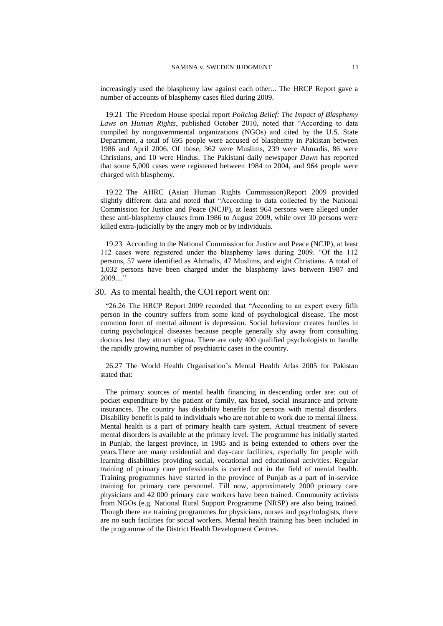increasingly used the blasphemy law against each other... The HRCP Report gave a number of accounts of blasphemy cases filed during 2009.

19.21 The Freedom House special report *Policing Belief: The Impact of Blasphemy Laws on Human Rights*, published October 2010, noted that "According to data compiled by nongovernmental organizations (NGOs) and cited by the U.S. State Department, a total of 695 people were accused of blasphemy in Pakistan between 1986 and April 2006. Of those, 362 were Muslims, 239 were Ahmadis, 86 were Christians, and 10 were Hindus. The Pakistani daily newspaper *Dawn* has reported that some 5,000 cases were registered between 1984 to 2004, and 964 people were charged with blasphemy.

19.22 The AHRC (Asian Human Rights Commission)Report 2009 provided slightly different data and noted that "According to data collected by the National Commission for Justice and Peace (NCJP), at least 964 persons were alleged under these anti-blasphemy clauses from 1986 to August 2009, while over 30 persons were killed extra-judicially by the angry mob or by individuals.

19.23 According to the National Commission for Justice and Peace (NCJP), at least 112 cases were registered under the blasphemy laws during 2009. "Of the 112 persons, 57 were identified as Ahmadis, 47 Muslims, and eight Christians. A total of 1,032 persons have been charged under the blasphemy laws between 1987 and  $2009...$ "

### 30. As to mental health, the COI report went on:

"26.26 The HRCP Report 2009 recorded that "According to an expert every fifth person in the country suffers from some kind of psychological disease. The most common form of mental ailment is depression. Social behaviour creates hurdles in curing psychological diseases because people generally shy away from consulting doctors lest they attract stigma. There are only 400 qualified psychologists to handle the rapidly growing number of psychiatric cases in the country.

26.27 The World Health Organisation's Mental Health Atlas 2005 for Pakistan stated that:

The primary sources of mental health financing in descending order are: out of pocket expenditure by the patient or family, tax based, social insurance and private insurances. The country has disability benefits for persons with mental disorders. Disability benefit is paid to individuals who are not able to work due to mental illness. Mental health is a part of primary health care system. Actual treatment of severe mental disorders is available at the primary level. The programme has initially started in Punjab, the largest province, in 1985 and is being extended to others over the years.There are many residential and day-care facilities, especially for people with learning disabilities providing social, vocational and educational activities. Regular training of primary care professionals is carried out in the field of mental health. Training programmes have started in the province of Punjab as a part of in-service training for primary care personnel. Till now, approximately 2000 primary care physicians and 42 000 primary care workers have been trained. Community activists from NGOs (e.g. National Rural Support Programme (NRSP) are also being trained. Though there are training programmes for physicians, nurses and psychologists, there are no such facilities for social workers. Mental health training has been included in the programme of the District Health Development Centres.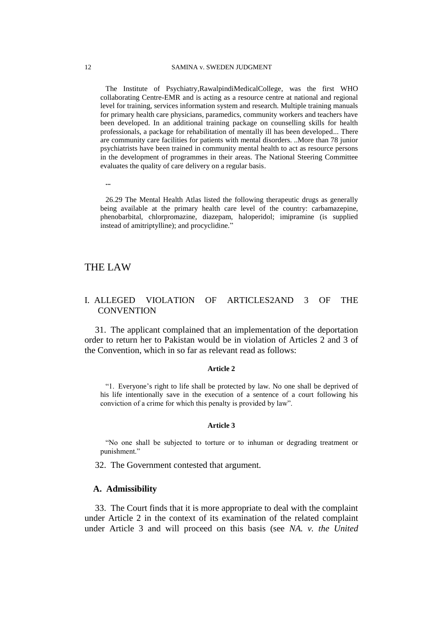The Institute of Psychiatry,RawalpindiMedicalCollege, was the first WHO collaborating Centre-EMR and is acting as a resource centre at national and regional level for training, services information system and research. Multiple training manuals for primary health care physicians, paramedics, community workers and teachers have been developed. In an additional training package on counselling skills for health professionals, a package for rehabilitation of mentally ill has been developed... There are community care facilities for patients with mental disorders. ..More than 78 junior psychiatrists have been trained in community mental health to act as resource persons in the development of programmes in their areas. The National Steering Committee evaluates the quality of care delivery on a regular basis.

**...**

26.29 The Mental Health Atlas listed the following therapeutic drugs as generally being available at the primary health care level of the country: carbamazepine, phenobarbital, chlorpromazine, diazepam, haloperidol; imipramine (is supplied instead of amitriptylline); and procyclidine."

## THE LAW

## I. ALLEGED VIOLATION OF ARTICLES2AND 3 OF THE **CONVENTION**

31. The applicant complained that an implementation of the deportation order to return her to Pakistan would be in violation of Articles 2 and 3 of the Convention, which in so far as relevant read as follows:

#### **Article 2**

"1. Everyone's right to life shall be protected by law. No one shall be deprived of his life intentionally save in the execution of a sentence of a court following his conviction of a crime for which this penalty is provided by law".

#### **Article 3**

"No one shall be subjected to torture or to inhuman or degrading treatment or punishment."

32. The Government contested that argument.

#### **A. Admissibility**

33. The Court finds that it is more appropriate to deal with the complaint under Article 2 in the context of its examination of the related complaint under Article 3 and will proceed on this basis (see *NA. v. the United*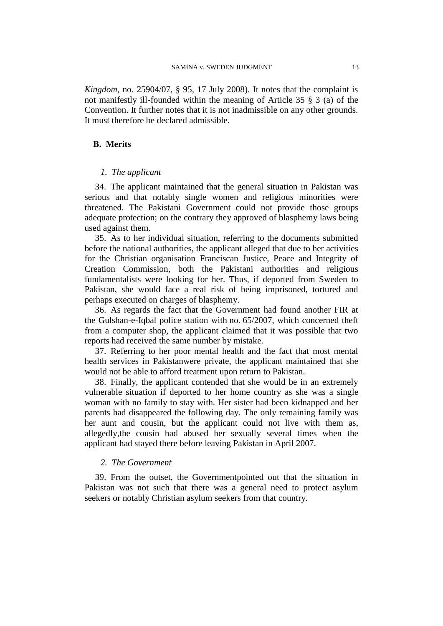*Kingdom*, no. 25904/07, § 95, 17 July 2008). It notes that the complaint is not manifestly ill-founded within the meaning of Article 35 § 3 (a) of the Convention. It further notes that it is not inadmissible on any other grounds. It must therefore be declared admissible.

## **B. Merits**

## *1. The applicant*

34. The applicant maintained that the general situation in Pakistan was serious and that notably single women and religious minorities were threatened. The Pakistani Government could not provide those groups adequate protection; on the contrary they approved of blasphemy laws being used against them.

35. As to her individual situation, referring to the documents submitted before the national authorities, the applicant alleged that due to her activities for the Christian organisation Franciscan Justice, Peace and Integrity of Creation Commission, both the Pakistani authorities and religious fundamentalists were looking for her. Thus, if deported from Sweden to Pakistan, she would face a real risk of being imprisoned, tortured and perhaps executed on charges of blasphemy.

36. As regards the fact that the Government had found another FIR at the Gulshan-e-Iqbal police station with no. 65/2007, which concerned theft from a computer shop, the applicant claimed that it was possible that two reports had received the same number by mistake.

37. Referring to her poor mental health and the fact that most mental health services in Pakistanwere private, the applicant maintained that she would not be able to afford treatment upon return to Pakistan.

38. Finally, the applicant contended that she would be in an extremely vulnerable situation if deported to her home country as she was a single woman with no family to stay with. Her sister had been kidnapped and her parents had disappeared the following day. The only remaining family was her aunt and cousin, but the applicant could not live with them as, allegedly,the cousin had abused her sexually several times when the applicant had stayed there before leaving Pakistan in April 2007.

## *2. The Government*

39. From the outset, the Governmentpointed out that the situation in Pakistan was not such that there was a general need to protect asylum seekers or notably Christian asylum seekers from that country.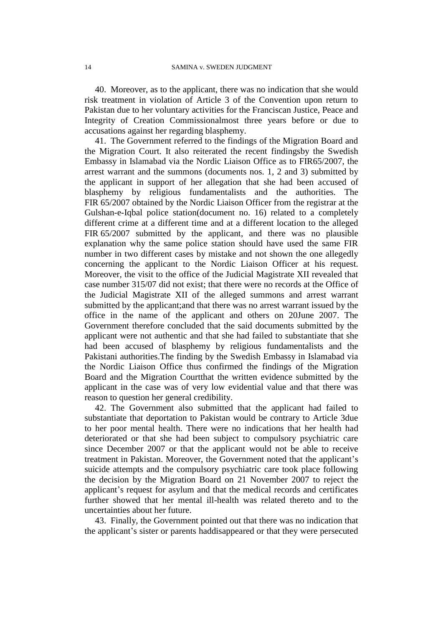40. Moreover, as to the applicant, there was no indication that she would risk treatment in violation of Article 3 of the Convention upon return to Pakistan due to her voluntary activities for the Franciscan Justice, Peace and Integrity of Creation Commissionalmost three years before or due to accusations against her regarding blasphemy.

41. The Government referred to the findings of the Migration Board and the Migration Court. It also reiterated the recent findingsby the Swedish Embassy in Islamabad via the Nordic Liaison Office as to FIR65/2007, the arrest warrant and the summons (documents nos. 1, 2 and 3) submitted by the applicant in support of her allegation that she had been accused of blasphemy by religious fundamentalists and the authorities. The FIR 65/2007 obtained by the Nordic Liaison Officer from the registrar at the Gulshan-e-Iqbal police station(document no. 16) related to a completely different crime at a different time and at a different location to the alleged FIR 65/2007 submitted by the applicant, and there was no plausible explanation why the same police station should have used the same FIR number in two different cases by mistake and not shown the one allegedly concerning the applicant to the Nordic Liaison Officer at his request. Moreover, the visit to the office of the Judicial Magistrate XII revealed that case number 315/07 did not exist; that there were no records at the Office of the Judicial Magistrate XII of the alleged summons and arrest warrant submitted by the applicant;and that there was no arrest warrant issued by the office in the name of the applicant and others on 20June 2007. The Government therefore concluded that the said documents submitted by the applicant were not authentic and that she had failed to substantiate that she had been accused of blasphemy by religious fundamentalists and the Pakistani authorities.The finding by the Swedish Embassy in Islamabad via the Nordic Liaison Office thus confirmed the findings of the Migration Board and the Migration Courtthat the written evidence submitted by the applicant in the case was of very low evidential value and that there was reason to question her general credibility.

42. The Government also submitted that the applicant had failed to substantiate that deportation to Pakistan would be contrary to Article 3due to her poor mental health. There were no indications that her health had deteriorated or that she had been subject to compulsory psychiatric care since December 2007 or that the applicant would not be able to receive treatment in Pakistan. Moreover, the Government noted that the applicant's suicide attempts and the compulsory psychiatric care took place following the decision by the Migration Board on 21 November 2007 to reject the applicant's request for asylum and that the medical records and certificates further showed that her mental ill-health was related thereto and to the uncertainties about her future.

43. Finally, the Government pointed out that there was no indication that the applicant's sister or parents haddisappeared or that they were persecuted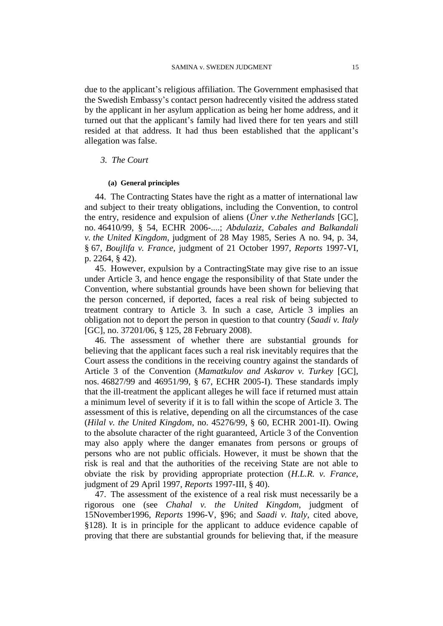due to the applicant's religious affiliation. The Government emphasised that the Swedish Embassy's contact person hadrecently visited the address stated by the applicant in her asylum application as being her home address, and it turned out that the applicant's family had lived there for ten years and still resided at that address. It had thus been established that the applicant's allegation was false.

## *3. The Court*

### **(a) General principles**

44. The Contracting States have the right as a matter of international law and subject to their treaty obligations, including the Convention, to control the entry, residence and expulsion of aliens (*Üner v.the Netherlands* [GC], no. 46410/99, § 54, ECHR 2006-....; *Abdulaziz, Cabales and Balkandali v. the United Kingdom*, judgment of 28 May 1985, Series A no. 94, p. 34, § 67, *Boujlifa v. France*, judgment of 21 October 1997, *Reports* 1997-VI, p. 2264, § 42).

45. However, expulsion by a ContractingState may give rise to an issue under Article 3, and hence engage the responsibility of that State under the Convention, where substantial grounds have been shown for believing that the person concerned, if deported, faces a real risk of being subjected to treatment contrary to Article 3. In such a case, Article 3 implies an obligation not to deport the person in question to that country (*Saadi v. Italy* [GC], no. 37201/06, § 125, 28 February 2008).

46. The assessment of whether there are substantial grounds for believing that the applicant faces such a real risk inevitably requires that the Court assess the conditions in the receiving country against the standards of Article 3 of the Convention (*Mamatkulov and Askarov v. Turkey* [GC], nos. 46827/99 and 46951/99, § 67, ECHR 2005-I). These standards imply that the ill-treatment the applicant alleges he will face if returned must attain a minimum level of severity if it is to fall within the scope of Article 3. The assessment of this is relative, depending on all the circumstances of the case (*Hilal v. the United Kingdom*, no. 45276/99, § 60, ECHR 2001-II). Owing to the absolute character of the right guaranteed, Article 3 of the Convention may also apply where the danger emanates from persons or groups of persons who are not public officials. However, it must be shown that the risk is real and that the authorities of the receiving State are not able to obviate the risk by providing appropriate protection (*H.L.R. v. France*, judgment of 29 April 1997, *Reports* 1997-III, § 40).

47. The assessment of the existence of a real risk must necessarily be a rigorous one (see *Chahal v. the United Kingdom*, judgment of 15November1996, *Reports* 1996-V, §96; and *Saadi v. Italy*, cited above, §128). It is in principle for the applicant to adduce evidence capable of proving that there are substantial grounds for believing that, if the measure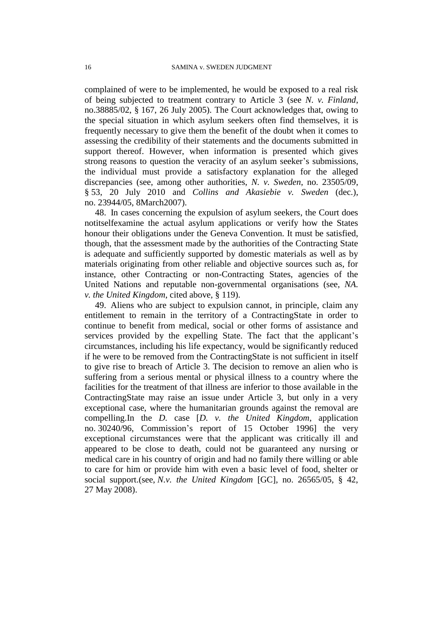complained of were to be implemented, he would be exposed to a real risk of being subjected to treatment contrary to Article 3 (see *N. v. Finland*, no.38885/02, § 167, 26 July 2005). The Court acknowledges that, owing to the special situation in which asylum seekers often find themselves, it is frequently necessary to give them the benefit of the doubt when it comes to assessing the credibility of their statements and the documents submitted in support thereof. However, when information is presented which gives strong reasons to question the veracity of an asylum seeker's submissions, the individual must provide a satisfactory explanation for the alleged discrepancies (see, among other authorities, *N. v. Sweden*, no. 23505/09, § 53, 20 July 2010 and *Collins and Akasiebie v. Sweden* (dec.), no. 23944/05, 8March2007).

48. In cases concerning the expulsion of asylum seekers, the Court does notitselfexamine the actual asylum applications or verify how the States honour their obligations under the Geneva Convention. It must be satisfied, though, that the assessment made by the authorities of the Contracting State is adequate and sufficiently supported by domestic materials as well as by materials originating from other reliable and objective sources such as, for instance, other Contracting or non-Contracting States, agencies of the United Nations and reputable non-governmental organisations (see, *NA. v. the United Kingdom*, cited above, § 119).

49. Aliens who are subject to expulsion cannot, in principle, claim any entitlement to remain in the territory of a ContractingState in order to continue to benefit from medical, social or other forms of assistance and services provided by the expelling State. The fact that the applicant's circumstances, including his life expectancy, would be significantly reduced if he were to be removed from the ContractingState is not sufficient in itself to give rise to breach of Article 3. The decision to remove an alien who is suffering from a serious mental or physical illness to a country where the facilities for the treatment of that illness are inferior to those available in the ContractingState may raise an issue under Article 3, but only in a very exceptional case, where the humanitarian grounds against the removal are compelling.In the *D.* case [*D. v. the United Kingdom*, application no. 30240/96, Commission's report of 15 October 1996] the very exceptional circumstances were that the applicant was critically ill and appeared to be close to death, could not be guaranteed any nursing or medical care in his country of origin and had no family there willing or able to care for him or provide him with even a basic level of food, shelter or social support.(see, *N.v. the United Kingdom* [GC], no. 26565/05, § 42, 27 May 2008).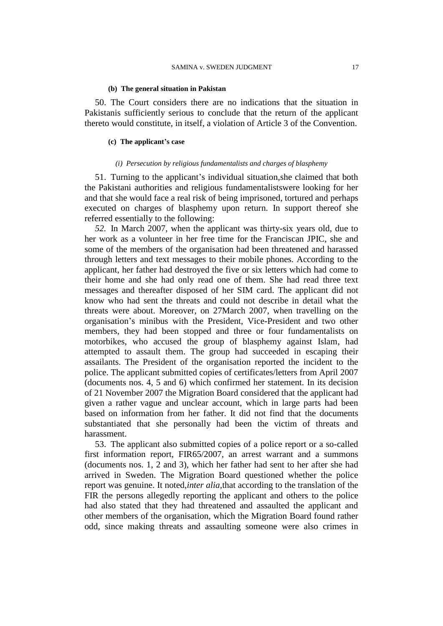### **(b) The general situation in Pakistan**

50. The Court considers there are no indications that the situation in Pakistanis sufficiently serious to conclude that the return of the applicant thereto would constitute, in itself, a violation of Article 3 of the Convention.

### **(c) The applicant's case**

### *(i) Persecution by religious fundamentalists and charges of blasphemy*

51. Turning to the applicant's individual situation,she claimed that both the Pakistani authorities and religious fundamentalistswere looking for her and that she would face a real risk of being imprisoned, tortured and perhaps executed on charges of blasphemy upon return. In support thereof she referred essentially to the following:

*52.* In March 2007, when the applicant was thirty-six years old, due to her work as a volunteer in her free time for the Franciscan JPIC, she and some of the members of the organisation had been threatened and harassed through letters and text messages to their mobile phones. According to the applicant, her father had destroyed the five or six letters which had come to their home and she had only read one of them. She had read three text messages and thereafter disposed of her SIM card. The applicant did not know who had sent the threats and could not describe in detail what the threats were about. Moreover, on 27March 2007, when travelling on the organisation's minibus with the President, Vice-President and two other members, they had been stopped and three or four fundamentalists on motorbikes, who accused the group of blasphemy against Islam, had attempted to assault them. The group had succeeded in escaping their assailants. The President of the organisation reported the incident to the police. The applicant submitted copies of certificates/letters from April 2007 (documents nos. 4, 5 and 6) which confirmed her statement. In its decision of 21 November 2007 the Migration Board considered that the applicant had given a rather vague and unclear account, which in large parts had been based on information from her father. It did not find that the documents substantiated that she personally had been the victim of threats and harassment.

53. The applicant also submitted copies of a police report or a so-called first information report, FIR65/2007, an arrest warrant and a summons (documents nos. 1, 2 and 3), which her father had sent to her after she had arrived in Sweden. The Migration Board questioned whether the police report was genuine. It noted,*inter alia,*that according to the translation of the FIR the persons allegedly reporting the applicant and others to the police had also stated that they had threatened and assaulted the applicant and other members of the organisation, which the Migration Board found rather odd, since making threats and assaulting someone were also crimes in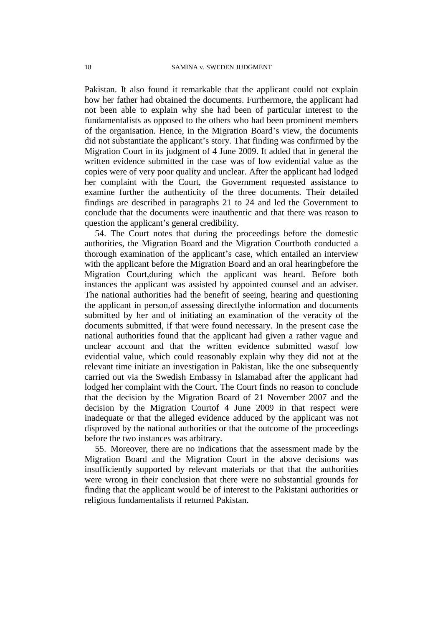Pakistan. It also found it remarkable that the applicant could not explain how her father had obtained the documents. Furthermore, the applicant had not been able to explain why she had been of particular interest to the fundamentalists as opposed to the others who had been prominent members of the organisation. Hence, in the Migration Board's view, the documents did not substantiate the applicant's story. That finding was confirmed by the Migration Court in its judgment of 4 June 2009. It added that in general the written evidence submitted in the case was of low evidential value as the copies were of very poor quality and unclear. After the applicant had lodged her complaint with the Court, the Government requested assistance to examine further the authenticity of the three documents. Their detailed findings are described in paragraphs 21 to 24 and led the Government to conclude that the documents were inauthentic and that there was reason to question the applicant's general credibility.

54. The Court notes that during the proceedings before the domestic authorities, the Migration Board and the Migration Courtboth conducted a thorough examination of the applicant's case, which entailed an interview with the applicant before the Migration Board and an oral hearingbefore the Migration Court,during which the applicant was heard. Before both instances the applicant was assisted by appointed counsel and an adviser. The national authorities had the benefit of seeing, hearing and questioning the applicant in person,of assessing directlythe information and documents submitted by her and of initiating an examination of the veracity of the documents submitted, if that were found necessary. In the present case the national authorities found that the applicant had given a rather vague and unclear account and that the written evidence submitted wasof low evidential value, which could reasonably explain why they did not at the relevant time initiate an investigation in Pakistan, like the one subsequently carried out via the Swedish Embassy in Islamabad after the applicant had lodged her complaint with the Court. The Court finds no reason to conclude that the decision by the Migration Board of 21 November 2007 and the decision by the Migration Courtof 4 June 2009 in that respect were inadequate or that the alleged evidence adduced by the applicant was not disproved by the national authorities or that the outcome of the proceedings before the two instances was arbitrary.

55. Moreover, there are no indications that the assessment made by the Migration Board and the Migration Court in the above decisions was insufficiently supported by relevant materials or that that the authorities were wrong in their conclusion that there were no substantial grounds for finding that the applicant would be of interest to the Pakistani authorities or religious fundamentalists if returned Pakistan.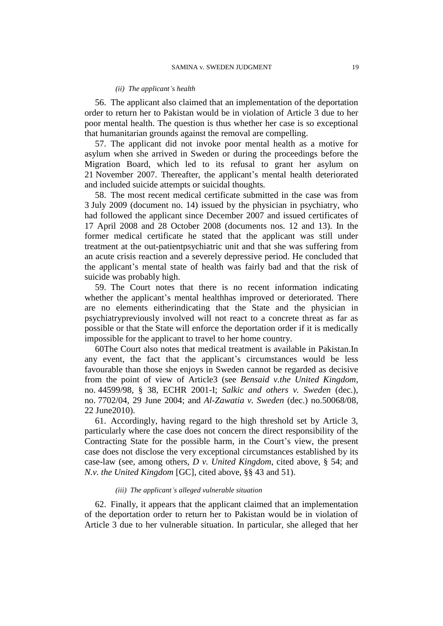#### *(ii) The applicant's health*

56. The applicant also claimed that an implementation of the deportation order to return her to Pakistan would be in violation of Article 3 due to her poor mental health. The question is thus whether her case is so exceptional that humanitarian grounds against the removal are compelling.

57. The applicant did not invoke poor mental health as a motive for asylum when she arrived in Sweden or during the proceedings before the Migration Board, which led to its refusal to grant her asylum on 21 November 2007. Thereafter, the applicant's mental health deteriorated and included suicide attempts or suicidal thoughts.

58. The most recent medical certificate submitted in the case was from 3 July 2009 (document no. 14) issued by the physician in psychiatry, who had followed the applicant since December 2007 and issued certificates of 17 April 2008 and 28 October 2008 (documents nos. 12 and 13). In the former medical certificate he stated that the applicant was still under treatment at the out-patientpsychiatric unit and that she was suffering from an acute crisis reaction and a severely depressive period. He concluded that the applicant's mental state of health was fairly bad and that the risk of suicide was probably high.

59. The Court notes that there is no recent information indicating whether the applicant's mental healthhas improved or deteriorated. There are no elements eitherindicating that the State and the physician in psychiatrypreviously involved will not react to a concrete threat as far as possible or that the State will enforce the deportation order if it is medically impossible for the applicant to travel to her home country.

60The Court also notes that medical treatment is available in Pakistan.In any event, the fact that the applicant's circumstances would be less favourable than those she enjoys in Sweden cannot be regarded as decisive from the point of view of Article3 (see *Bensaid v.the United Kingdom*, no. 44599/98, § 38, ECHR 2001-I; *Salkic and others v. Sweden* (dec.), no. 7702/04, 29 June 2004; and *Al-Zawatia v. Sweden* (dec.) no.50068/08, 22 June2010).

61. Accordingly, having regard to the high threshold set by Article 3, particularly where the case does not concern the direct responsibility of the Contracting State for the possible harm, in the Court's view, the present case does not disclose the very exceptional circumstances established by its case-law (see, among others, *D v. United Kingdom*, cited above, § 54; and *N.v. the United Kingdom* [GC], cited above, §§ 43 and 51).

### *(iii) The applicant's alleged vulnerable situation*

62. Finally, it appears that the applicant claimed that an implementation of the deportation order to return her to Pakistan would be in violation of Article 3 due to her vulnerable situation. In particular, she alleged that her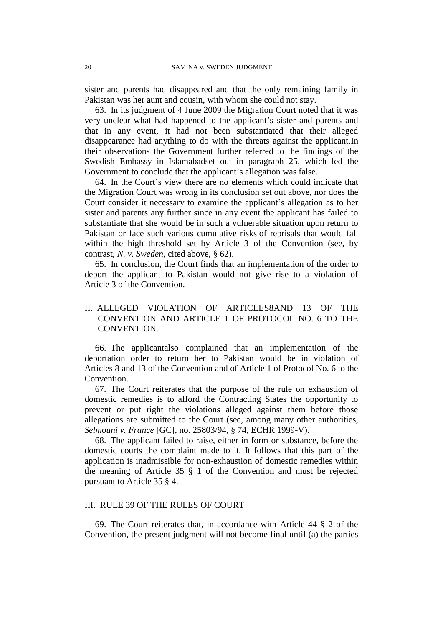sister and parents had disappeared and that the only remaining family in Pakistan was her aunt and cousin, with whom she could not stay.

63. In its judgment of 4 June 2009 the Migration Court noted that it was very unclear what had happened to the applicant's sister and parents and that in any event, it had not been substantiated that their alleged disappearance had anything to do with the threats against the applicant.In their observations the Government further referred to the findings of the Swedish Embassy in Islamabadset out in paragraph 25, which led the Government to conclude that the applicant's allegation was false.

64. In the Court's view there are no elements which could indicate that the Migration Court was wrong in its conclusion set out above, nor does the Court consider it necessary to examine the applicant's allegation as to her sister and parents any further since in any event the applicant has failed to substantiate that she would be in such a vulnerable situation upon return to Pakistan or face such various cumulative risks of reprisals that would fall within the high threshold set by Article 3 of the Convention (see, by contrast, *N. v. Sweden*, cited above, § 62).

65. In conclusion, the Court finds that an implementation of the order to deport the applicant to Pakistan would not give rise to a violation of Article 3 of the Convention.

## II. ALLEGED VIOLATION OF ARTICLES8AND 13 OF THE CONVENTION AND ARTICLE 1 OF PROTOCOL NO. 6 TO THE CONVENTION.

66. The applicantalso complained that an implementation of the deportation order to return her to Pakistan would be in violation of Articles 8 and 13 of the Convention and of Article 1 of Protocol No. 6 to the Convention.

67. The Court reiterates that the purpose of the rule on exhaustion of domestic remedies is to afford the Contracting States the opportunity to prevent or put right the violations alleged against them before those allegations are submitted to the Court (see, among many other authorities, *Selmouni v. France* [GC], no. 25803/94, § 74, ECHR 1999-V).

68. The applicant failed to raise, either in form or substance, before the domestic courts the complaint made to it. It follows that this part of the application is inadmissible for non-exhaustion of domestic remedies within the meaning of Article 35 § 1 of the Convention and must be rejected pursuant to Article 35 § 4.

## III. RULE 39 OF THE RULES OF COURT

69. The Court reiterates that, in accordance with Article 44 § 2 of the Convention, the present judgment will not become final until (a) the parties